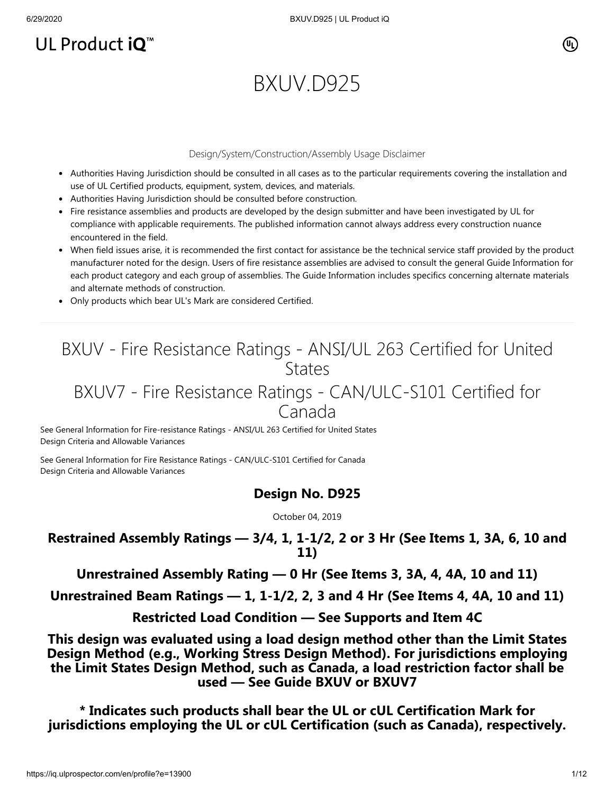## UL Product  $iQ^m$

## (Սլ)

# BXUV.D925

#### Design/System/Construction/Assembly Usage Disclaimer

- Authorities Having Jurisdiction should be consulted in all cases as to the particular requirements covering the installation and use of UL Certified products, equipment, system, devices, and materials.
- Authorities Having Jurisdiction should be consulted before construction.
- Fire resistance assemblies and products are developed by the design submitter and have been investigated by UL for compliance with applicable requirements. The published information cannot always address every construction nuance encountered in the field.
- When field issues arise, it is recommended the first contact for assistance be the technical service staff provided by the product manufacturer noted for the design. Users of fire resistance assemblies are advised to consult the general Guide Information for each product category and each group of assemblies. The Guide Information includes specifics concerning alternate materials and alternate methods of construction.
- Only products which bear UL's Mark are considered Certified.

## BXUV - Fire Resistance Ratings - ANSI/UL 263 Certified for United **States**

## BXUV7 - Fire Resistance Ratings - CAN/ULC-S101 Certified for Canada

[See General Information for Fire-resistance Ratings - ANSI/UL 263 Certified for United States](https://iq.ulprospector.com/cgi-bin/XYV/template/LISEXT/1FRAME/showpage.html?name=BXUV.GuideInfo&ccnshorttitle=Fire-resistance+Ratings+-+ANSI/UL+263&objid=1074327030&cfgid=1073741824&version=versionless&parent_id=1073984818&sequence=1) Design Criteria and Allowable Variances

[See General Information for Fire Resistance Ratings - CAN/ULC-S101 Certified for Canada](https://iq.ulprospector.com/cgi-bin/XYV/template/LISEXT/1FRAME/showpage.html?name=BXUV7.GuideInfo&ccnshorttitle=Fire+Resistance+Ratings+-+CAN/ULC-S101+Certified+for+Canada&objid=1074205658&cfgid=1073741824&version=versionless&parent_id=1073984820&sequence=1) Design Criteria and Allowable Variances

## **Design No. D925**

October 04, 2019

## **Restrained Assembly Ratings — 3/4, 1, 1-1/2, 2 or 3 Hr (See Items 1, 3A, 6, 10 and 11)**

**Unrestrained Assembly Rating — 0 Hr (See Items 3, 3A, 4, 4A, 10 and 11)**

**Unrestrained Beam Ratings — 1, 1-1/2, 2, 3 and 4 Hr (See Items 4, 4A, 10 and 11)**

**Restricted Load Condition — See Supports and Item 4C**

**This design was evaluated using a load design method other than the Limit States Design Method (e.g., Working Stress Design Method). For jurisdictions employing the Limit States Design Method, such as Canada, a load restriction factor shall be used — See Guide [BXUV](https://database.ul.com/cgi-bin/XYV/template/LISEXT/1FRAME/showpage.html?name=BXUV.GuideInfo&ccnshorttitle=Fire-resistance+Ratings+-+ANSI/UL+263&objid=1074327030&cfgid=1073741824&version=versionless&parent_id=1073984818&sequence=1) or [BXUV7](https://database.ul.com/cgi-bin/XYV/template/LISEXT/1FRAME/showpage.html?name=BXUV7.GuideInfo&ccnshorttitle=Fire+Resistance+Ratings+-+CAN/ULC-S101M+Certified+for+Canada&objid=1074205658&cfgid=1073741824&version=versionless&parent_id=1073984820&sequence=1)**

**\* Indicates such products shall bear the UL or cUL Certification Mark for jurisdictions employing the UL or cUL Certification (such as Canada), respectively.**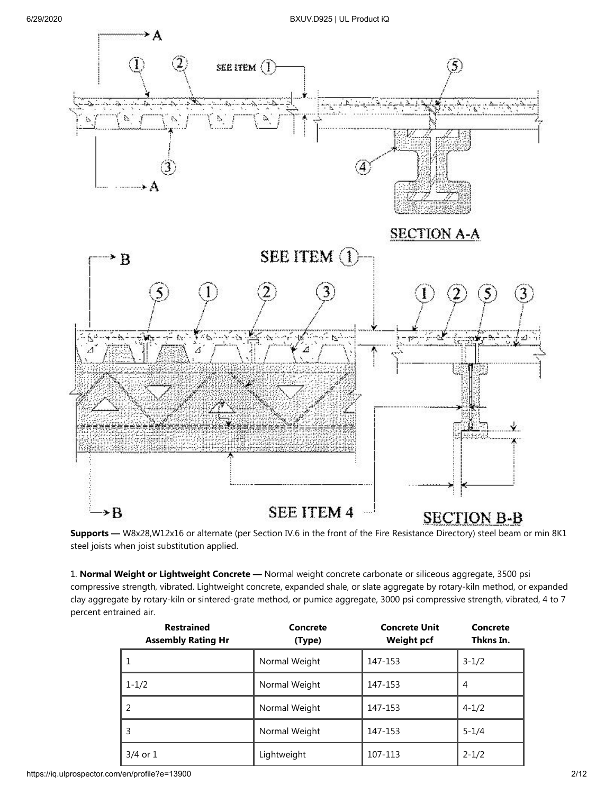

**Supports —** W8x28,W12x16 or alternate (per Section IV.6 in the front of the Fire Resistance Directory) steel beam or min 8K1 steel joists when joist substitution applied.

1. **Normal Weight or Lightweight Concrete —** Normal weight concrete carbonate or siliceous aggregate, 3500 psi compressive strength, vibrated. Lightweight concrete, expanded shale, or slate aggregate by rotary-kiln method, or expanded clay aggregate by rotary-kiln or sintered-grate method, or pumice aggregate, 3000 psi compressive strength, vibrated, 4 to 7 percent entrained air.

| <b>Restrained</b><br><b>Assembly Rating Hr</b> | Concrete<br>(Type) | <b>Concrete Unit</b><br><b>Weight pcf</b> | Concrete<br>Thkns In. |
|------------------------------------------------|--------------------|-------------------------------------------|-----------------------|
| 1                                              | Normal Weight      | 147-153                                   | $3 - 1/2$             |
| $1 - 1/2$                                      | Normal Weight      | 147-153                                   | 4                     |
| 2                                              | Normal Weight      | 147-153                                   | $4 - 1/2$             |
| 3                                              | Normal Weight      | 147-153                                   | $5 - 1/4$             |
| $3/4$ or $1$                                   | Lightweight        | 107-113                                   | $2 - 1/2$             |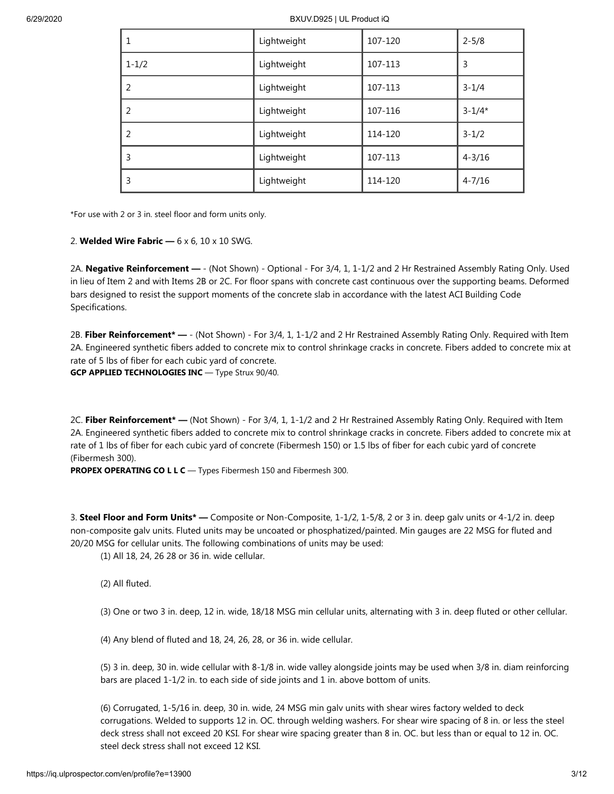| 1             | Lightweight | 107-120 | $2 - 5/8$  |
|---------------|-------------|---------|------------|
| $1 - 1/2$     | Lightweight | 107-113 | 3          |
| 2             | Lightweight | 107-113 | $3 - 1/4$  |
| 2             | Lightweight | 107-116 | $3 - 1/4*$ |
| $\mathcal{P}$ | Lightweight | 114-120 | $3 - 1/2$  |
| 3             | Lightweight | 107-113 | $4 - 3/16$ |
| 3             | Lightweight | 114-120 | $4 - 7/16$ |

\*For use with 2 or 3 in. steel floor and form units only.

2. **Welded Wire Fabric —** 6 x 6, 10 x 10 SWG.

2A. **Negative Reinforcement —** - (Not Shown) - Optional - For 3/4, 1, 1-1/2 and 2 Hr Restrained Assembly Rating Only. Used in lieu of Item 2 and with Items 2B or 2C. For floor spans with concrete cast continuous over the supporting beams. Deformed bars designed to resist the support moments of the concrete slab in accordance with the latest ACI Building Code Specifications.

2B. **Fiber Reinforcement\* —** - (Not Shown) - For 3/4, 1, 1-1/2 and 2 Hr Restrained Assembly Rating Only. Required with Item 2A. Engineered synthetic fibers added to concrete mix to control shrinkage cracks in concrete. Fibers added to concrete mix at rate of 5 lbs of fiber for each cubic yard of concrete. **GCP APPLIED TECHNOLOGIES INC** — Type Strux 90/40.

2C. **Fiber Reinforcement\* —** (Not Shown) - For 3/4, 1, 1-1/2 and 2 Hr Restrained Assembly Rating Only. Required with Item 2A. Engineered synthetic fibers added to concrete mix to control shrinkage cracks in concrete. Fibers added to concrete mix at rate of 1 lbs of fiber for each cubic yard of concrete (Fibermesh 150) or 1.5 lbs of fiber for each cubic yard of concrete (Fibermesh 300).

**PROPEX OPERATING CO L L C** — Types Fibermesh 150 and Fibermesh 300.

3. **Steel Floor and Form Units\* —** Composite or Non-Composite, 1-1/2, 1-5/8, 2 or 3 in. deep galv units or 4-1/2 in. deep non-composite galv units. Fluted units may be uncoated or phosphatized/painted. Min gauges are 22 MSG for fluted and 20/20 MSG for cellular units. The following combinations of units may be used:

(1) All 18, 24, 26 28 or 36 in. wide cellular.

(2) All fluted.

(3) One or two 3 in. deep, 12 in. wide, 18/18 MSG min cellular units, alternating with 3 in. deep fluted or other cellular.

(4) Any blend of fluted and 18, 24, 26, 28, or 36 in. wide cellular.

(5) 3 in. deep, 30 in. wide cellular with 8-1/8 in. wide valley alongside joints may be used when 3/8 in. diam reinforcing bars are placed 1-1/2 in. to each side of side joints and 1 in. above bottom of units.

(6) Corrugated, 1-5/16 in. deep, 30 in. wide, 24 MSG min galv units with shear wires factory welded to deck corrugations. Welded to supports 12 in. OC. through welding washers. For shear wire spacing of 8 in. or less the steel deck stress shall not exceed 20 KSI. For shear wire spacing greater than 8 in. OC. but less than or equal to 12 in. OC. steel deck stress shall not exceed 12 KSI.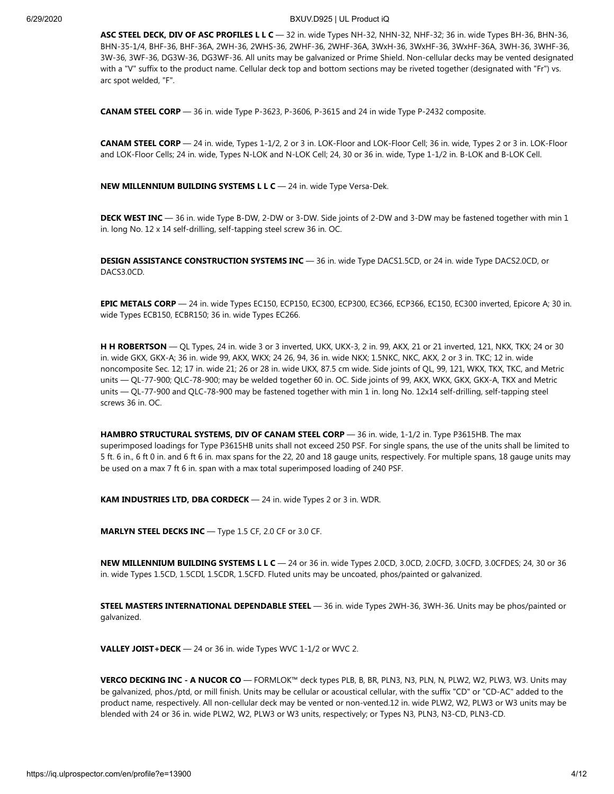**ASC STEEL DECK, DIV OF ASC PROFILES L L C** — 32 in. wide Types NH-32, NHN-32, NHF-32; 36 in. wide Types BH-36, BHN-36, BHN-35-1/4, BHF-36, BHF-36A, 2WH-36, 2WHS-36, 2WHF-36, 2WHF-36A, 3WxH-36, 3WxHF-36, 3WxHF-36A, 3WH-36, 3WHF-36, 3W-36, 3WF-36, DG3W-36, DG3WF-36. All units may be galvanized or Prime Shield. Non-cellular decks may be vented designated with a "V" suffix to the product name. Cellular deck top and bottom sections may be riveted together (designated with "Fr") vs. arc spot welded, "F".

**CANAM STEEL CORP** — 36 in. wide Type P-3623, P-3606, P-3615 and 24 in wide Type P-2432 composite.

**CANAM STEEL CORP** — 24 in. wide, Types 1-1/2, 2 or 3 in. LOK-Floor and LOK-Floor Cell; 36 in. wide, Types 2 or 3 in. LOK-Floor and LOK-Floor Cells; 24 in. wide, Types N-LOK and N-LOK Cell; 24, 30 or 36 in. wide, Type 1-1/2 in. B-LOK and B-LOK Cell.

**NEW MILLENNIUM BUILDING SYSTEMS L L C** — 24 in. wide Type Versa-Dek.

**DECK WEST INC** — 36 in. wide Type B-DW, 2-DW or 3-DW. Side joints of 2-DW and 3-DW may be fastened together with min 1 in. long No. 12 x 14 self-drilling, self-tapping steel screw 36 in. OC.

**DESIGN ASSISTANCE CONSTRUCTION SYSTEMS INC** — 36 in. wide Type DACS1.5CD, or 24 in. wide Type DACS2.0CD, or DACS3.0CD.

**EPIC METALS CORP** — 24 in. wide Types EC150, ECP150, EC300, ECP300, EC366, ECP366, EC150, EC300 inverted, Epicore A; 30 in. wide Types ECB150, ECBR150; 36 in. wide Types EC266.

**H H ROBERTSON** — QL Types, 24 in. wide 3 or 3 inverted, UKX, UKX-3, 2 in. 99, AKX, 21 or 21 inverted, 121, NKX, TKX; 24 or 30 in. wide GKX, GKX-A; 36 in. wide 99, AKX, WKX; 24 26, 94, 36 in. wide NKX; 1.5NKC, NKC, AKX, 2 or 3 in. TKC; 12 in. wide noncomposite Sec. 12; 17 in. wide 21; 26 or 28 in. wide UKX, 87.5 cm wide. Side joints of QL, 99, 121, WKX, TKX, TKC, and Metric units — QL-77-900; QLC-78-900; may be welded together 60 in. OC. Side joints of 99, AKX, WKX, GKX, GKX-A, TKX and Metric units — QL-77-900 and QLC-78-900 may be fastened together with min 1 in. long No. 12x14 self-drilling, self-tapping steel screws 36 in. OC.

**HAMBRO STRUCTURAL SYSTEMS, DIV OF CANAM STEEL CORP** — 36 in. wide, 1-1/2 in. Type P3615HB. The max superimposed loadings for Type P3615HB units shall not exceed 250 PSF. For single spans, the use of the units shall be limited to 5 ft. 6 in., 6 ft 0 in. and 6 ft 6 in. max spans for the 22, 20 and 18 gauge units, respectively. For multiple spans, 18 gauge units may be used on a max 7 ft 6 in. span with a max total superimposed loading of 240 PSF.

**KAM INDUSTRIES LTD, DBA CORDECK** — 24 in. wide Types 2 or 3 in. WDR.

**MARLYN STEEL DECKS INC** — Type 1.5 CF, 2.0 CF or 3.0 CF.

**NEW MILLENNIUM BUILDING SYSTEMS L L C** — 24 or 36 in. wide Types 2.0CD, 3.0CD, 2.0CFD, 3.0CFD, 3.0CFDES; 24, 30 or 36 in. wide Types 1.5CD, 1.5CDI, 1.5CDR, 1.5CFD. Fluted units may be uncoated, phos/painted or galvanized.

**STEEL MASTERS INTERNATIONAL DEPENDABLE STEEL** — 36 in. wide Types 2WH-36, 3WH-36. Units may be phos/painted or galvanized.

**VALLEY JOIST+DECK** — 24 or 36 in. wide Types WVC 1-1/2 or WVC 2.

**VERCO DECKING INC - A NUCOR CO** — FORMLOK™ deck types PLB, B, BR, PLN3, N3, PLN, N, PLW2, W2, PLW3, W3. Units may be galvanized, phos./ptd, or mill finish. Units may be cellular or acoustical cellular, with the suffix "CD" or "CD-AC" added to the product name, respectively. All non-cellular deck may be vented or non-vented.12 in. wide PLW2, W2, PLW3 or W3 units may be blended with 24 or 36 in. wide PLW2, W2, PLW3 or W3 units, respectively; or Types N3, PLN3, N3-CD, PLN3-CD.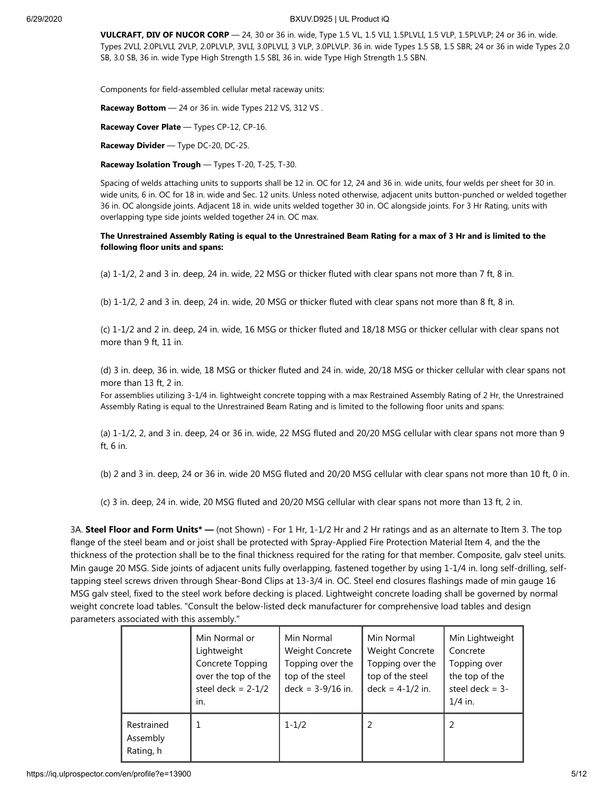**VULCRAFT, DIV OF NUCOR CORP** — 24, 30 or 36 in. wide, Type 1.5 VL, 1.5 VLI, 1.5PLVLI, 1.5 VLP, 1.5PLVLP; 24 or 36 in. wide. Types 2VLI, 2.0PLVLI, 2VLP, 2.0PLVLP, 3VLI, 3.0PLVLI, 3 VLP, 3.0PLVLP. 36 in. wide Types 1.5 SB, 1.5 SBR; 24 or 36 in wide Types 2.0 SB, 3.0 SB, 36 in. wide Type High Strength 1.5 SBI, 36 in. wide Type High Strength 1.5 SBN.

Components for field-assembled cellular metal raceway units:

**Raceway Bottom** - 24 or 36 in. wide Types 212 VS, 312 VS.

**Raceway Cover Plate** — Types CP-12, CP-16.

**Raceway Divider** — Type DC-20, DC-25.

**Raceway Isolation Trough** — Types T-20, T-25, T-30.

Spacing of welds attaching units to supports shall be 12 in. OC for 12, 24 and 36 in. wide units, four welds per sheet for 30 in. wide units, 6 in. OC for 18 in. wide and Sec. 12 units. Unless noted otherwise, adjacent units button-punched or welded together 36 in. OC alongside joints. Adjacent 18 in. wide units welded together 30 in. OC alongside joints. For 3 Hr Rating, units with overlapping type side joints welded together 24 in. OC max.

**The Unrestrained Assembly Rating is equal to the Unrestrained Beam Rating for a max of 3 Hr and is limited to the following floor units and spans:**

(a) 1-1/2, 2 and 3 in. deep, 24 in. wide, 22 MSG or thicker fluted with clear spans not more than 7 ft, 8 in.

(b) 1-1/2, 2 and 3 in. deep, 24 in. wide, 20 MSG or thicker fluted with clear spans not more than 8 ft, 8 in.

(c) 1-1/2 and 2 in. deep, 24 in. wide, 16 MSG or thicker fluted and 18/18 MSG or thicker cellular with clear spans not more than 9 ft, 11 in.

(d) 3 in. deep, 36 in. wide, 18 MSG or thicker fluted and 24 in. wide, 20/18 MSG or thicker cellular with clear spans not more than 13 ft, 2 in.

For assemblies utilizing 3-1/4 in. lightweight concrete topping with a max Restrained Assembly Rating of 2 Hr, the Unrestrained Assembly Rating is equal to the Unrestrained Beam Rating and is limited to the following floor units and spans:

(a) 1-1/2, 2, and 3 in. deep, 24 or 36 in. wide, 22 MSG fluted and 20/20 MSG cellular with clear spans not more than 9 ft, 6 in.

(b) 2 and 3 in. deep, 24 or 36 in. wide 20 MSG fluted and 20/20 MSG cellular with clear spans not more than 10 ft, 0 in.

(c) 3 in. deep, 24 in. wide, 20 MSG fluted and 20/20 MSG cellular with clear spans not more than 13 ft, 2 in.

3A. **Steel Floor and Form Units\* —** (not Shown) - For 1 Hr, 1-1/2 Hr and 2 Hr ratings and as an alternate to Item 3. The top flange of the steel beam and or joist shall be protected with Spray-Applied Fire Protection Material Item 4, and the the thickness of the protection shall be to the final thickness required for the rating for that member. Composite, galv steel units. Min gauge 20 MSG. Side joints of adjacent units fully overlapping, fastened together by using 1-1/4 in. long self-drilling, selftapping steel screws driven through Shear-Bond Clips at 13-3/4 in. OC. Steel end closures flashings made of min gauge 16 MSG galv steel, fixed to the steel work before decking is placed. Lightweight concrete loading shall be governed by normal weight concrete load tables. "Consult the below-listed deck manufacturer for comprehensive load tables and design parameters associated with this assembly."

|                                     | Min Normal or<br>Lightweight<br>Concrete Topping<br>over the top of the<br>steel deck = $2-1/2$<br>in. | Min Normal<br>Weight Concrete<br>Topping over the<br>top of the steel<br>$deck = 3-9/16$ in. | Min Normal<br><b>Weight Concrete</b><br>Topping over the<br>top of the steel<br>$deck = 4-1/2$ in. | Min Lightweight<br>Concrete<br>Topping over<br>the top of the<br>steel deck $=$ 3-<br>$1/4$ in. |
|-------------------------------------|--------------------------------------------------------------------------------------------------------|----------------------------------------------------------------------------------------------|----------------------------------------------------------------------------------------------------|-------------------------------------------------------------------------------------------------|
| Restrained<br>Assembly<br>Rating, h | 1                                                                                                      | $1 - 1/2$                                                                                    |                                                                                                    | 2                                                                                               |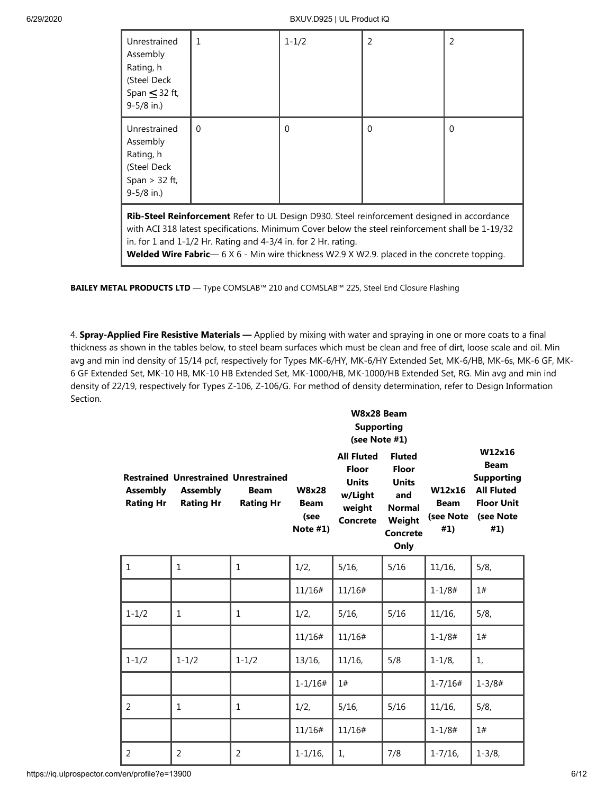| Unrestrained<br>Assembly<br>Rating, h<br>(Steel Deck)<br>Span $\leq$ 32 ft,<br>$9 - 5/8$ in.)                                                                                                                                                                                                                                                                                       | 1        | $1 - 1/2$ | $\overline{2}$ | 2        |  |  |
|-------------------------------------------------------------------------------------------------------------------------------------------------------------------------------------------------------------------------------------------------------------------------------------------------------------------------------------------------------------------------------------|----------|-----------|----------------|----------|--|--|
| Unrestrained<br>Assembly<br>Rating, h<br>(Steel Deck<br>Span $>$ 32 ft,<br>$9 - 5/8$ in.)                                                                                                                                                                                                                                                                                           | $\Omega$ | $\Omega$  | $\Omega$       | $\Omega$ |  |  |
| <b>Rib-Steel Reinforcement</b> Refer to UL Design D930. Steel reinforcement designed in accordance<br>with ACI 318 latest specifications. Minimum Cover below the steel reinforcement shall be 1-19/32<br>in. for 1 and $1-1/2$ Hr. Rating and $4-3/4$ in. for 2 Hr. rating.<br><b>Welded Wire Fabric</b> — 6 X 6 - Min wire thickness W2.9 X W2.9. placed in the concrete topping. |          |           |                |          |  |  |

**BAILEY METAL PRODUCTS LTD** — Type COMSLAB™ 210 and COMSLAB™ 225, Steel End Closure Flashing

4. **Spray-Applied Fire Resistive Materials —** Applied by mixing with water and spraying in one or more coats to a final thickness as shown in the tables below, to steel beam surfaces which must be clean and free of dirt, loose scale and oil. Min avg and min ind density of 15/14 pcf, respectively for Types MK-6/HY, MK-6/HY Extended Set, MK-6/HB, MK-6s, MK-6 GF, MK-6 GF Extended Set, MK-10 HB, MK-10 HB Extended Set, MK-1000/HB, MK-1000/HB Extended Set, RG. Min avg and min ind density of 22/19, respectively for Types Z-106, Z-106/G. For method of density determination, refer to Design Information Section.

|                                     |                                                                                    |                                 | W8x28 Beam<br><b>Supporting</b><br>(see Note #1)  |                                                                                           |                                                                                                     |                                           |                                                                                                          |
|-------------------------------------|------------------------------------------------------------------------------------|---------------------------------|---------------------------------------------------|-------------------------------------------------------------------------------------------|-----------------------------------------------------------------------------------------------------|-------------------------------------------|----------------------------------------------------------------------------------------------------------|
| <b>Assembly</b><br><b>Rating Hr</b> | <b>Restrained Unrestrained Unrestrained</b><br><b>Assembly</b><br><b>Rating Hr</b> | <b>Beam</b><br><b>Rating Hr</b> | <b>W8x28</b><br><b>Beam</b><br>(see<br>Note $#1)$ | <b>All Fluted</b><br><b>Floor</b><br><b>Units</b><br>w/Light<br>weight<br><b>Concrete</b> | <b>Fluted</b><br><b>Floor</b><br><b>Units</b><br>and<br><b>Normal</b><br>Weight<br>Concrete<br>Only | W12x16<br><b>Beam</b><br>(see Note<br>#1) | W12x16<br><b>Beam</b><br><b>Supporting</b><br><b>All Fluted</b><br><b>Floor Unit</b><br>(see Note<br>#1) |
| $\mathbf{1}$                        | $\mathbf{1}$                                                                       | $\mathbf{1}$                    | 1/2,                                              | 5/16                                                                                      | 5/16                                                                                                | $11/16$ ,                                 | 5/8,                                                                                                     |
|                                     |                                                                                    |                                 | 11/16#                                            | 11/16#                                                                                    |                                                                                                     | $1 - 1/8#$                                | 1#                                                                                                       |
| $1 - 1/2$                           | $\mathbf{1}$                                                                       | $\mathbf{1}$                    | 1/2,                                              | $5/16$ ,                                                                                  | 5/16                                                                                                | $11/16$ ,                                 | 5/8,                                                                                                     |
|                                     |                                                                                    |                                 | 11/16#                                            | 11/16#                                                                                    |                                                                                                     | $1 - 1/8#$                                | 1#                                                                                                       |
| $1 - 1/2$                           | $1 - 1/2$                                                                          | $1 - 1/2$                       | $13/16$ ,                                         | $11/16$ ,                                                                                 | 5/8                                                                                                 | $1 - 1/8$ ,                               | 1,                                                                                                       |
|                                     |                                                                                    |                                 | $1 - 1/16#$                                       | 1#                                                                                        |                                                                                                     | $1 - 7/16#$                               | $1 - 3/8#$                                                                                               |
| 2                                   | 1                                                                                  | $\mathbf{1}$                    | 1/2,                                              | $5/16$ ,                                                                                  | 5/16                                                                                                | $11/16$ ,                                 | 5/8,                                                                                                     |
|                                     |                                                                                    |                                 | 11/16#                                            | 11/16#                                                                                    |                                                                                                     | $1 - 1/8#$                                | 1#                                                                                                       |
| 2                                   | 2                                                                                  | 2                               | $1 - 1/16$ ,                                      | 1,                                                                                        | 7/8                                                                                                 | $1 - 7/16$ ,                              | $1 - \frac{3}{8}$                                                                                        |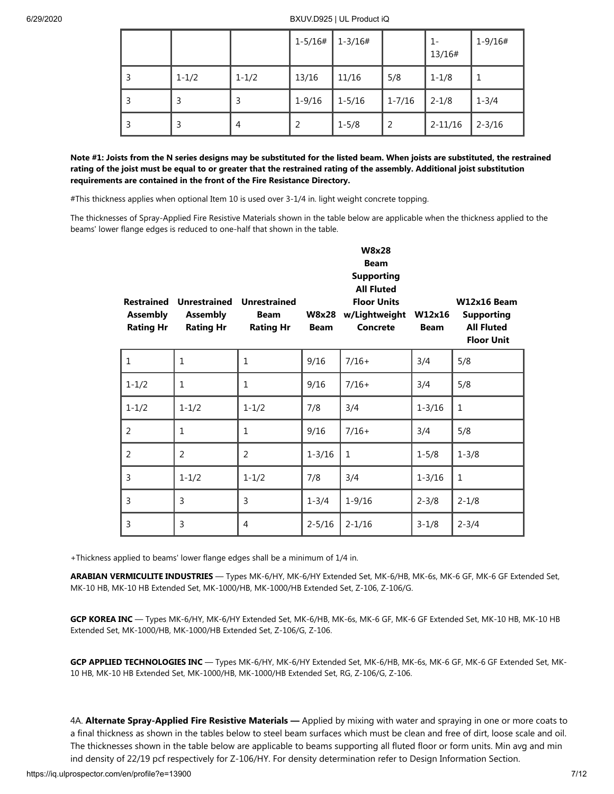|   |           |           | 1-5/16#    | 1-3/16#   |            | $1-$<br>13/16# | $1 - 9/16#$ |
|---|-----------|-----------|------------|-----------|------------|----------------|-------------|
| 3 | $1 - 1/2$ | $1 - 1/2$ | 13/16      | 11/16     | 5/8        | $1 - 1/8$      |             |
| 3 | 3         | 3         | $1 - 9/16$ | 1-5/16    | $1 - 7/16$ | $2 - 1/8$      | $1 - 3/4$   |
| 3 | 3         | 4         |            | $1 - 5/8$ | 2          | $2 - 11/16$    | $2 - 3/16$  |

**Note #1: Joists from the N series designs may be substituted for the listed beam. When joists are substituted, the restrained rating of the joist must be equal to or greater that the restrained rating of the assembly. Additional joist substitution requirements are contained in the front of the Fire Resistance Directory.**

#This thickness applies when optional Item 10 is used over 3-1/4 in. light weight concrete topping.

The thicknesses of Spray-Applied Fire Resistive Materials shown in the table below are applicable when the thickness applied to the beams' lower flange edges is reduced to one-half that shown in the table.

| <b>Restrained</b><br><b>Assembly</b><br><b>Rating Hr</b> | <b>Unrestrained</b><br><b>Assembly</b><br><b>Rating Hr</b> | <b>Unrestrained</b><br><b>Beam</b><br><b>Rating Hr</b> | <b>W8x28</b><br><b>Beam</b> | W8x28<br><b>Beam</b><br><b>Supporting</b><br><b>All Fluted</b><br><b>Floor Units</b><br>w/Lightweight<br>Concrete | W12x16<br><b>Beam</b> | W12x16 Beam<br><b>Supporting</b><br><b>All Fluted</b><br><b>Floor Unit</b> |
|----------------------------------------------------------|------------------------------------------------------------|--------------------------------------------------------|-----------------------------|-------------------------------------------------------------------------------------------------------------------|-----------------------|----------------------------------------------------------------------------|
| $\mathbf 1$                                              | $\mathbf{1}$                                               | 1                                                      | 9/16                        | $7/16+$                                                                                                           | 3/4                   | 5/8                                                                        |
| $1 - 1/2$                                                | 1                                                          | 1                                                      | 9/16                        | $7/16+$                                                                                                           | 3/4                   | 5/8                                                                        |
| $1 - 1/2$                                                | $1 - 1/2$                                                  | $1 - 1/2$                                              | 7/8                         | 3/4                                                                                                               | $1 - 3/16$            | 1                                                                          |
| 2                                                        | 1                                                          | 1                                                      | 9/16                        | $7/16+$                                                                                                           | 3/4                   | 5/8                                                                        |
| 2                                                        | 2                                                          | 2                                                      | $1 - 3/16$                  | $\mathbf{1}$                                                                                                      | $1 - 5/8$             | $1 - 3/8$                                                                  |
| 3                                                        | $1 - 1/2$                                                  | $1 - 1/2$                                              | 7/8                         | 3/4                                                                                                               | $1 - 3/16$            | 1                                                                          |
| 3                                                        | 3                                                          | 3                                                      | $1 - 3/4$                   | $1 - 9/16$                                                                                                        | $2 - 3/8$             | $2 - 1/8$                                                                  |
| 3                                                        | 3                                                          | 4                                                      | $2 - 5/16$                  | $2 - 1/16$                                                                                                        | $3 - 1/8$             | $2 - 3/4$                                                                  |

+Thickness applied to beams' lower flange edges shall be a minimum of 1/4 in.

**ARABIAN VERMICULITE INDUSTRIES** — Types MK-6/HY, MK-6/HY Extended Set, MK-6/HB, MK-6s, MK-6 GF, MK-6 GF Extended Set, MK-10 HB, MK-10 HB Extended Set, MK-1000/HB, MK-1000/HB Extended Set, Z-106, Z-106/G.

**GCP KOREA INC** — Types MK-6/HY, MK-6/HY Extended Set, MK-6/HB, MK-6s, MK-6 GF, MK-6 GF Extended Set, MK-10 HB, MK-10 HB Extended Set, MK-1000/HB, MK-1000/HB Extended Set, Z-106/G, Z-106.

**GCP APPLIED TECHNOLOGIES INC** — Types MK-6/HY, MK-6/HY Extended Set, MK-6/HB, MK-6s, MK-6 GF, MK-6 GF Extended Set, MK-10 HB, MK-10 HB Extended Set, MK-1000/HB, MK-1000/HB Extended Set, RG, Z-106/G, Z-106.

4A. **Alternate Spray-Applied Fire Resistive Materials —** Applied by mixing with water and spraying in one or more coats to a final thickness as shown in the tables below to steel beam surfaces which must be clean and free of dirt, loose scale and oil. The thicknesses shown in the table below are applicable to beams supporting all fluted floor or form units. Min avg and min ind density of 22/19 pcf respectively for Z-106/HY. For density determination refer to Design Information Section.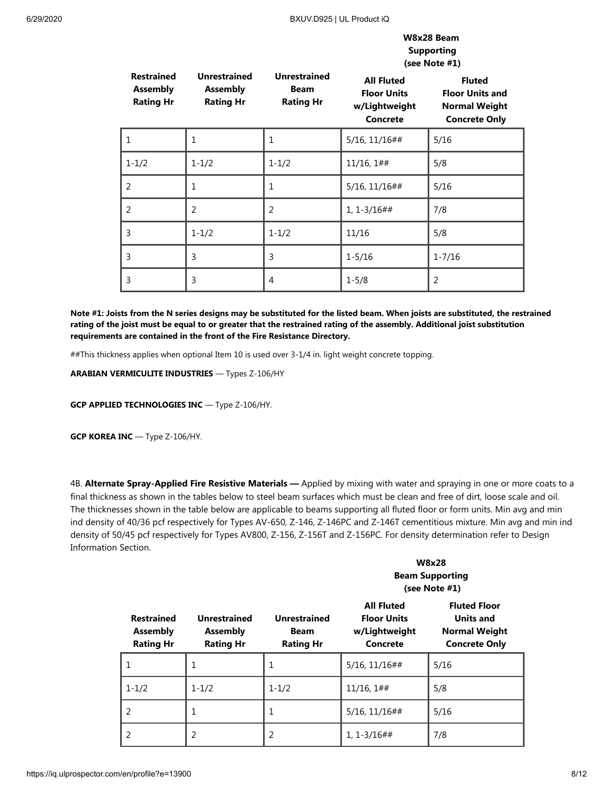#### **W8x28 Beam Supporting (see Note #1)**

| <b>Restrained</b><br><b>Assembly</b><br><b>Rating Hr</b> | <b>Unrestrained</b><br><b>Assembly</b><br><b>Rating Hr</b> | <b>Unrestrained</b><br><b>Beam</b><br><b>Rating Hr</b> | <b>All Fluted</b><br><b>Floor Units</b><br>w/Lightweight<br><b>Concrete</b> | -- --- -- - -<br><b>Fluted</b><br><b>Floor Units and</b><br><b>Normal Weight</b><br><b>Concrete Only</b> |
|----------------------------------------------------------|------------------------------------------------------------|--------------------------------------------------------|-----------------------------------------------------------------------------|----------------------------------------------------------------------------------------------------------|
|                                                          | 1                                                          | 1                                                      | $5/16$ , $11/16$ ##                                                         | 5/16                                                                                                     |
| $1 - 1/2$                                                | $1 - 1/2$                                                  | $1 - 1/2$                                              | $11/16, 1#$ #                                                               | 5/8                                                                                                      |
| 2                                                        | 1                                                          | 1                                                      | 5/16, 11/16##                                                               | 5/16                                                                                                     |
| 2                                                        | $\overline{2}$                                             | 2                                                      | $1, 1 - 3/16$ ##                                                            | 7/8                                                                                                      |
| 3                                                        | $1 - 1/2$                                                  | $1 - 1/2$                                              | 11/16                                                                       | 5/8                                                                                                      |
| 3                                                        | 3                                                          | 3                                                      | $1 - 5/16$                                                                  | $1 - 7/16$                                                                                               |
| 3                                                        | 3                                                          | 4                                                      | $1 - 5/8$                                                                   | $\overline{2}$                                                                                           |

**Note #1: Joists from the N series designs may be substituted for the listed beam. When joists are substituted, the restrained rating of the joist must be equal to or greater that the restrained rating of the assembly. Additional joist substitution requirements are contained in the front of the Fire Resistance Directory.**

##This thickness applies when optional Item 10 is used over 3-1/4 in. light weight concrete topping.

**ARABIAN VERMICULITE INDUSTRIES** — Types Z-106/HY

**GCP APPLIED TECHNOLOGIES INC** — Type Z-106/HY.

**GCP KOREA INC** — Type Z-106/HY.

4B. **Alternate Spray-Applied Fire Resistive Materials —** Applied by mixing with water and spraying in one or more coats to a final thickness as shown in the tables below to steel beam surfaces which must be clean and free of dirt, loose scale and oil. The thicknesses shown in the table below are applicable to beams supporting all fluted floor or form units. Min avg and min ind density of 40/36 pcf respectively for Types AV-650, Z-146, Z-146PC and Z-146T cementitious mixture. Min avg and min ind density of 50/45 pcf respectively for Types AV800, Z-156, Z-156T and Z-156PC. For density determination refer to Design Information Section.

|                                                          |                                                            |                                                 | <b>W8x28</b><br><b>Beam Supporting</b><br>(see Note #1)                     |                                                                                         |  |
|----------------------------------------------------------|------------------------------------------------------------|-------------------------------------------------|-----------------------------------------------------------------------------|-----------------------------------------------------------------------------------------|--|
| <b>Restrained</b><br><b>Assembly</b><br><b>Rating Hr</b> | <b>Unrestrained</b><br><b>Assembly</b><br><b>Rating Hr</b> | <b>Unrestrained</b><br>Beam<br><b>Rating Hr</b> | <b>All Fluted</b><br><b>Floor Units</b><br>w/Lightweight<br><b>Concrete</b> | <b>Fluted Floor</b><br><b>Units and</b><br><b>Normal Weight</b><br><b>Concrete Only</b> |  |
| 1                                                        | 1                                                          | 1                                               | $5/16$ , $11/16$ ##                                                         | 5/16                                                                                    |  |
| $1 - 1/2$                                                | $1 - 1/2$                                                  | $1 - 1/2$                                       | $11/16, 1#$ #                                                               | 5/8                                                                                     |  |
| 2                                                        | 1                                                          |                                                 | $5/16$ , $11/16$ ##                                                         | 5/16                                                                                    |  |
| 2                                                        | 2                                                          | 2                                               | $1, 1 - 3/16$ ##                                                            | 7/8                                                                                     |  |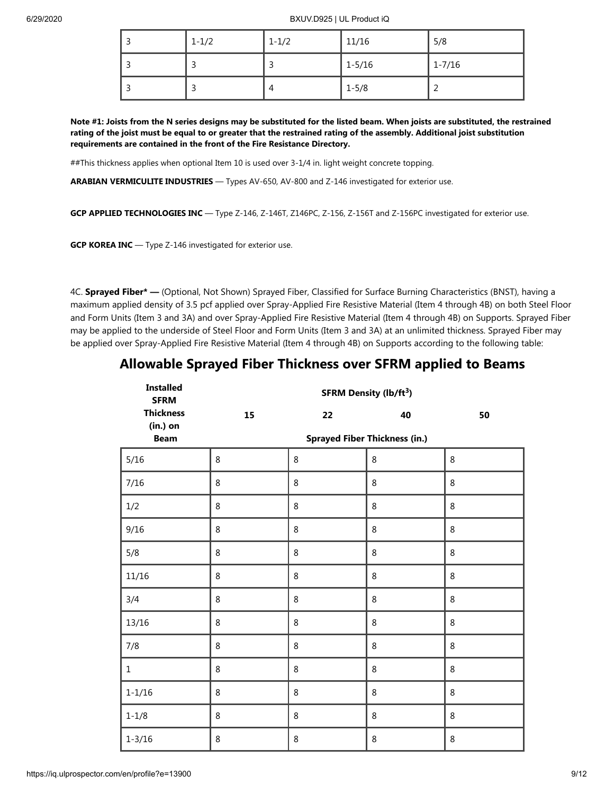| $1 - 1/2$ | $1 - 1/2$ | 11/16      | 5/8                      |
|-----------|-----------|------------|--------------------------|
| - 1       |           | $1 - 5/16$ | $1 - 7/16$               |
| - 1       | 4         | $1 - 5/8$  | $\overline{\phantom{0}}$ |

**Note #1: Joists from the N series designs may be substituted for the listed beam. When joists are substituted, the restrained rating of the joist must be equal to or greater that the restrained rating of the assembly. Additional joist substitution requirements are contained in the front of the Fire Resistance Directory.**

##This thickness applies when optional Item 10 is used over 3-1/4 in. light weight concrete topping.

**ARABIAN VERMICULITE INDUSTRIES** — Types AV-650, AV-800 and Z-146 investigated for exterior use.

**GCP APPLIED TECHNOLOGIES INC** — Type Z-146, Z-146T, Z146PC, Z-156, Z-156T and Z-156PC investigated for exterior use.

**GCP KOREA INC** — Type Z-146 investigated for exterior use.

4C. **Sprayed Fiber\* —** (Optional, Not Shown) Sprayed Fiber, Classified for Surface Burning Characteristics (BNST), having a maximum applied density of 3.5 pcf applied over Spray-Applied Fire Resistive Material (Item 4 through 4B) on both Steel Floor and Form Units (Item 3 and 3A) and over Spray-Applied Fire Resistive Material (Item 4 through 4B) on Supports. Sprayed Fiber may be applied to the underside of Steel Floor and Form Units (Item 3 and 3A) at an unlimited thickness. Sprayed Fiber may be applied over Spray-Applied Fire Resistive Material (Item 4 through 4B) on Supports according to the following table:

|  |  | <b>Allowable Sprayed Fiber Thickness over SFRM applied to Beams</b> |  |  |  |
|--|--|---------------------------------------------------------------------|--|--|--|
|--|--|---------------------------------------------------------------------|--|--|--|

| <b>Installed</b><br><b>SFRM</b> | <b>SFRM Density (lb/ft3)</b> |    |                                      |    |  |  |
|---------------------------------|------------------------------|----|--------------------------------------|----|--|--|
| <b>Thickness</b><br>(in.) on    | 15                           | 22 | 40                                   | 50 |  |  |
| <b>Beam</b>                     |                              |    | <b>Sprayed Fiber Thickness (in.)</b> |    |  |  |
| $5/16$                          | 8                            | 8  | 8                                    | 8  |  |  |
| 7/16                            | 8                            | 8  | 8                                    | 8  |  |  |
| 1/2                             | 8                            | 8  | 8                                    | 8  |  |  |
| 9/16                            | 8                            | 8  | 8                                    | 8  |  |  |
| 5/8                             | 8                            | 8  | 8                                    | 8  |  |  |
| 11/16                           | 8                            | 8  | 8                                    | 8  |  |  |
| 3/4                             | 8                            | 8  | 8                                    | 8  |  |  |
| 13/16                           | 8                            | 8  | 8                                    | 8  |  |  |
| 7/8                             | 8                            | 8  | 8                                    | 8  |  |  |
| $1\,$                           | 8                            | 8  | 8                                    | 8  |  |  |
| $1 - 1/16$                      | 8                            | 8  | 8                                    | 8  |  |  |
| $1 - 1/8$                       | 8                            | 8  | 8                                    | 8  |  |  |
| $1 - 3/16$                      | 8                            | 8  | 8                                    | 8  |  |  |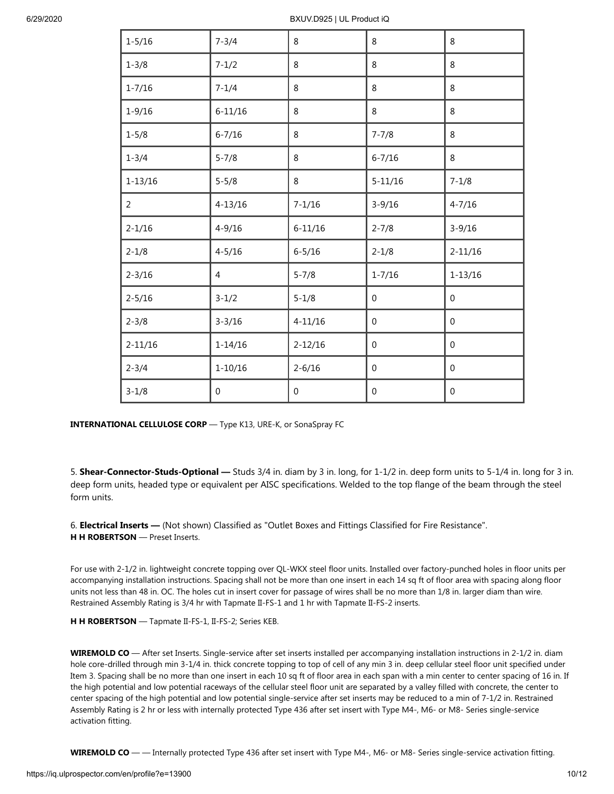| $1 - 5/16$     | $7 - 3/4$      | 8            | 8                | 8                |
|----------------|----------------|--------------|------------------|------------------|
| $1 - 3/8$      | $7 - 1/2$      | 8            | 8                | 8                |
| $1 - 7/16$     | $7 - 1/4$      | 8            | 8                | 8                |
| $1 - 9/16$     | $6 - 11/16$    | 8            | 8                | 8                |
| $1 - 5/8$      | $6 - 7/16$     | 8            | $7 - 7/8$        | 8                |
| $1 - 3/4$      | $5 - 7/8$      | 8            | $6 - 7/16$       | 8                |
| $1 - 13/16$    | $5 - 5/8$      | 8            | $5 - 11/16$      | $7 - 1/8$        |
| $\overline{2}$ | $4 - 13/16$    | $7 - 1/16$   | $3 - 9/16$       | $4 - 7/16$       |
| $2 - 1/16$     | $4 - 9/16$     | $6 - 11/16$  | $2 - 7/8$        | $3 - 9/16$       |
| $2 - 1/8$      | $4 - 5/16$     | $6 - 5/16$   | $2 - 1/8$        | $2 - 11/16$      |
| $2 - 3/16$     | $\overline{4}$ | $5 - 7/8$    | $1 - 7/16$       | $1 - 13/16$      |
| $2 - 5/16$     | $3 - 1/2$      | $5 - 1/8$    | 0                | $\overline{0}$   |
| $2 - 3/8$      | $3 - 3/16$     | $4 - 11/16$  | $\mathbf{0}$     | $\mathbf 0$      |
| $2 - 11/16$    | $1 - 14/16$    | $2 - 12/16$  | $\boldsymbol{0}$ | $\boldsymbol{0}$ |
| $2 - 3/4$      | $1 - 10/16$    | $2 - 6/16$   | 0                | 0                |
| $3 - 1/8$      | $\mathbf 0$    | $\mathbf{0}$ | 0                | $\boldsymbol{0}$ |

**INTERNATIONAL CELLULOSE CORP** — Type K13, URE-K, or SonaSpray FC

5. **Shear-Connector-Studs-Optional —** Studs 3/4 in. diam by 3 in. long, for 1-1/2 in. deep form units to 5-1/4 in. long for 3 in. deep form units, headed type or equivalent per AISC specifications. Welded to the top flange of the beam through the steel form units.

6. **Electrical Inserts —** (Not shown) Classified as "Outlet Boxes and Fittings Classified for Fire Resistance". **H H ROBERTSON** — Preset Inserts.

For use with 2-1/2 in. lightweight concrete topping over QL-WKX steel floor units. Installed over factory-punched holes in floor units per accompanying installation instructions. Spacing shall not be more than one insert in each 14 sq ft of floor area with spacing along floor units not less than 48 in. OC. The holes cut in insert cover for passage of wires shall be no more than 1/8 in. larger diam than wire. Restrained Assembly Rating is 3/4 hr with Tapmate II-FS-1 and 1 hr with Tapmate II-FS-2 inserts.

**H H ROBERTSON** — Tapmate II-FS-1, II-FS-2; Series KEB.

**WIREMOLD CO** — After set Inserts. Single-service after set inserts installed per accompanying installation instructions in 2-1/2 in. diam hole core-drilled through min 3-1/4 in. thick concrete topping to top of cell of any min 3 in. deep cellular steel floor unit specified under Item 3. Spacing shall be no more than one insert in each 10 sq ft of floor area in each span with a min center to center spacing of 16 in. If the high potential and low potential raceways of the cellular steel floor unit are separated by a valley filled with concrete, the center to center spacing of the high potential and low potential single-service after set inserts may be reduced to a min of 7-1/2 in. Restrained Assembly Rating is 2 hr or less with internally protected Type 436 after set insert with Type M4-, M6- or M8- Series single-service activation fitting.

**WIREMOLD CO** — — Internally protected Type 436 after set insert with Type M4-, M6- or M8- Series single-service activation fitting.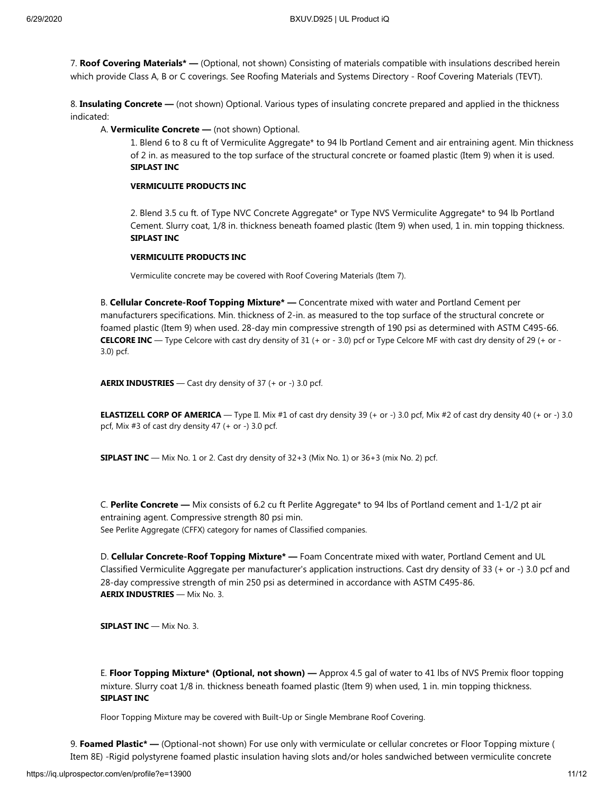7. **Roof Covering Materials\* —** (Optional, not shown) Consisting of materials compatible with insulations described herein which provide Class A, B or C coverings. See Roofing Materials and Systems Directory - Roof Covering Materials (TEVT).

8. **Insulating Concrete —** (not shown) Optional. Various types of insulating concrete prepared and applied in the thickness indicated:

A. **Vermiculite Concrete —** (not shown) Optional.

1. Blend 6 to 8 cu ft of Vermiculite Aggregate\* to 94 lb Portland Cement and air entraining agent. Min thickness of 2 in. as measured to the top surface of the structural concrete or foamed plastic (Item 9) when it is used. **SIPLAST INC**

#### **VERMICULITE PRODUCTS INC**

2. Blend 3.5 cu ft. of Type NVC Concrete Aggregate\* or Type NVS Vermiculite Aggregate\* to 94 lb Portland Cement. Slurry coat, 1/8 in. thickness beneath foamed plastic (Item 9) when used, 1 in. min topping thickness. **SIPLAST INC**

#### **VERMICULITE PRODUCTS INC**

Vermiculite concrete may be covered with Roof Covering Materials (Item 7).

B. **Cellular Concrete-Roof Topping Mixture\* —** Concentrate mixed with water and Portland Cement per manufacturers specifications. Min. thickness of 2-in. as measured to the top surface of the structural concrete or foamed plastic (Item 9) when used. 28-day min compressive strength of 190 psi as determined with ASTM C495-66. **CELCORE INC** — Type Celcore with cast dry density of 31 (+ or - 3.0) pcf or Type Celcore MF with cast dry density of 29 (+ or - 3.0) pcf.

**AERIX INDUSTRIES** — Cast dry density of 37 (+ or -) 3.0 pcf.

**ELASTIZELL CORP OF AMERICA** — Type II. Mix #1 of cast dry density 39 (+ or -) 3.0 pcf, Mix #2 of cast dry density 40 (+ or -) 3.0 pcf, Mix #3 of cast dry density 47 (+ or -) 3.0 pcf.

**SIPLAST INC** — Mix No. 1 or 2. Cast dry density of 32+3 (Mix No. 1) or 36+3 (mix No. 2) pcf.

C. **Perlite Concrete —** Mix consists of 6.2 cu ft Perlite Aggregate\* to 94 lbs of Portland cement and 1-1/2 pt air entraining agent. Compressive strength 80 psi min. See Perlite Aggregate (CFFX) category for names of Classified companies.

D. **Cellular Concrete-Roof Topping Mixture\* —** Foam Concentrate mixed with water, Portland Cement and UL Classified Vermiculite Aggregate per manufacturer's application instructions. Cast dry density of 33 (+ or -) 3.0 pcf and 28-day compressive strength of min 250 psi as determined in accordance with ASTM C495-86. **AERIX INDUSTRIES** — Mix No. 3.

**SIPLAST INC** — Mix No. 3.

E. **Floor Topping Mixture\* (Optional, not shown) —** Approx 4.5 gal of water to 41 lbs of NVS Premix floor topping mixture. Slurry coat 1/8 in. thickness beneath foamed plastic (Item 9) when used, 1 in. min topping thickness. **SIPLAST INC**

Floor Topping Mixture may be covered with Built-Up or Single Membrane Roof Covering.

9. **Foamed Plastic\* —** (Optional-not shown) For use only with vermiculate or cellular concretes or Floor Topping mixture ( Item 8E) -Rigid polystyrene foamed plastic insulation having slots and/or holes sandwiched between vermiculite concrete